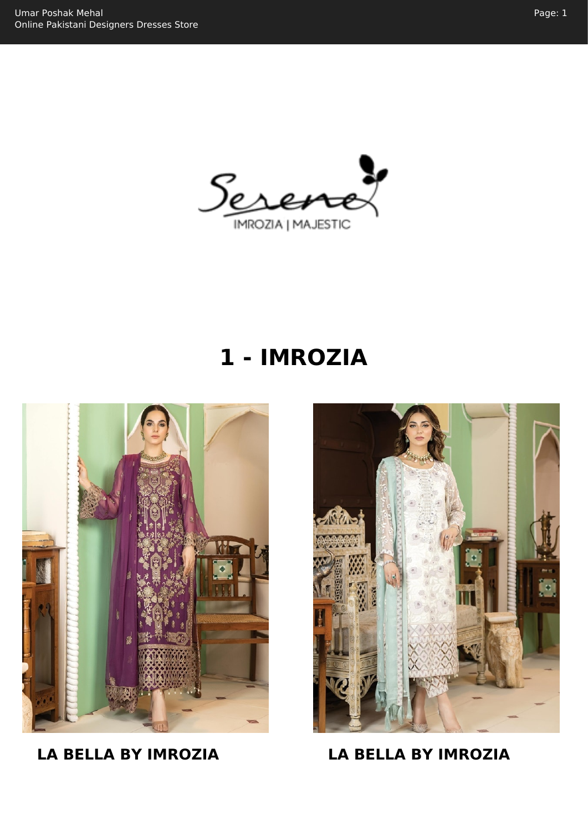

# **1 - IMROZIA**



**LA BELLA BY IMROZIA LA BELLA BY IMROZIA**

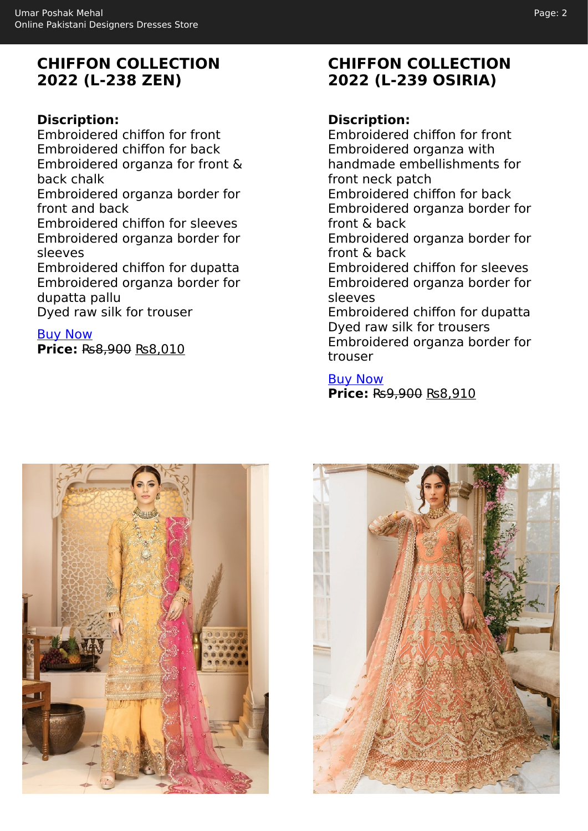# **CHIFFON COLLECTION 2022 (L-238 ZEN)**

## **Discription:**

Embroidered chiffon for front Embroidered chiffon for back Embroidered organza for front & back chalk Embroidered organza border for front and back Embroidered chiffon for sleeves Embroidered organza border for sleeves Embroidered chiffon for dupatta Embroidered organza border for dupatta pallu

Dyed raw silk for trouser

[Buy Now](https://umarposhakmehal.com/shop/la-bella-by-imrozia-chiffon-collection-2022-l-238-zen/?utm_source=file&utm_medium=PDF&utm_campaign=imrozia&utm_term=La+Bella+By+Imrozia+Chiffon+Collection+2022+%28L-238+Zen%29)

**Price:** ₨8,900 ₨8,010

# **CHIFFON COLLECTION 2022 (L-239 OSIRIA)**

#### **Discription:**

Embroidered chiffon for front Embroidered organza with handmade embellishments for front neck patch Embroidered chiffon for back Embroidered organza border for front & back Embroidered organza border for front & back Embroidered chiffon for sleeves Embroidered organza border for sleeves Embroidered chiffon for dupatta Dyed raw silk for trousers Embroidered organza border for trouser

[Buy Now](https://umarposhakmehal.com/shop/la-bella-by-imrozia-chiffon-collection-2022-l-239-osiria/?utm_source=file&utm_medium=PDF&utm_campaign=imrozia&utm_term=La+Bella+By+Imrozia+Chiffon+Collection+2022+%28L-239+Osiria%29) **Price:** ₨9,900 ₨8,910



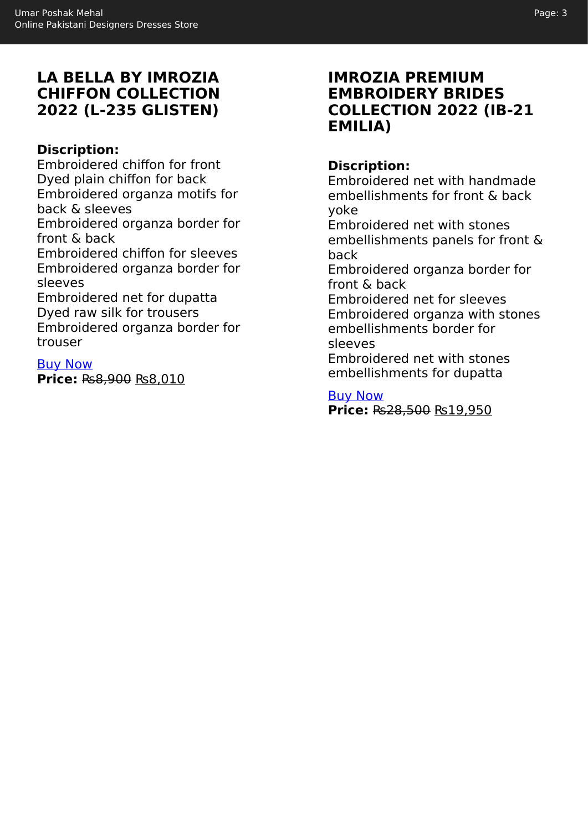# **LA BELLA BY IMROZIA CHIFFON COLLECTION 2022 (L-235 GLISTEN)**

## **Discription:**

Embroidered chiffon for front Dyed plain chiffon for back Embroidered organza motifs for back & sleeves Embroidered organza border for front & back Embroidered chiffon for sleeves Embroidered organza border for sleeves Embroidered net for dupatta Dyed raw silk for trousers Embroidered organza border for

trouser

[Buy Now](https://umarposhakmehal.com/shop/la-bella-by-imrozia-chiffon-collection-2022-l-235-glisten/?utm_source=file&utm_medium=PDF&utm_campaign=imrozia&utm_term=La+Bella+By+Imrozia+Chiffon+Collection+2022+%28L-235+Glisten%29) **Price:** ₨8,900 ₨8,010

## **IMROZIA PREMIUM EMBROIDERY BRIDES COLLECTION 2022 (IB-21 EMILIA)**

#### **Discription:**

Embroidered net with handmade embellishments for front & back yoke

Embroidered net with stones embellishments panels for front & back

Embroidered organza border for front & back

Embroidered net for sleeves Embroidered organza with stones embellishments border for sleeves

Embroidered net with stones embellishments for dupatta

[Buy Now](https://umarposhakmehal.com/shop/imrozia-premium-embroidery-brides-collection-2022-ib-21-emilia/?utm_source=file&utm_medium=PDF&utm_campaign=imrozia&utm_term=Imrozia+Premium+Embroidery+Brides+Collection+2022+%28IB-21+EMILIA%29)

**Price:** ₨28,500 ₨19,950